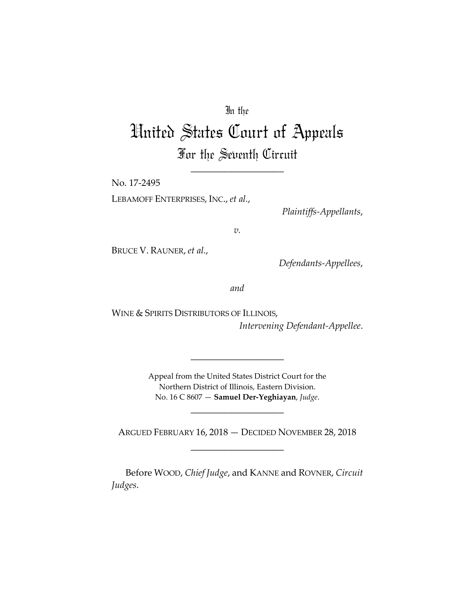## In the

# United States Court of Appeals For the Seventh Circuit

\_\_\_\_\_\_\_\_\_\_\_\_\_\_\_\_\_\_\_\_

No. 17-2495 LEBAMOFF ENTERPRISES, INC., *et al.*,

*Plaintiffs-Appellants*,

*v.*

BRUCE V. RAUNER, *et al.*,

*Defendants-Appellees*,

*and*

WINE & SPIRITS DISTRIBUTORS OF ILLINOIS, *Intervening Defendant-Appellee*.

> Appeal from the United States District Court for the Northern District of Illinois, Eastern Division. No. 16 C 8607 — **Samuel Der-Yeghiayan**, *Judge*.

> > \_\_\_\_\_\_\_\_\_\_\_\_\_\_\_\_\_\_\_\_

\_\_\_\_\_\_\_\_\_\_\_\_\_\_\_\_\_\_\_\_

ARGUED FEBRUARY 16, 2018 — DECIDED NOVEMBER 28, 2018 \_\_\_\_\_\_\_\_\_\_\_\_\_\_\_\_\_\_\_\_

Before WOOD, *Chief Judge*, and KANNE and ROVNER, *Circuit Judges*.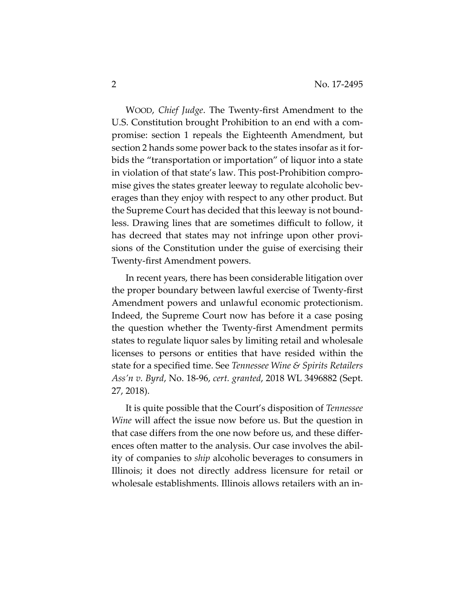WOOD, *Chief Judge*. The Twenty-first Amendment to the U.S. Constitution brought Prohibition to an end with a compromise: section 1 repeals the Eighteenth Amendment, but section 2 hands some power back to the states insofar as it forbids the "transportation or importation" of liquor into a state in violation of that state's law. This post-Prohibition compromise gives the states greater leeway to regulate alcoholic beverages than they enjoy with respect to any other product. But the Supreme Court has decided that this leeway is not boundless. Drawing lines that are sometimes difficult to follow, it has decreed that states may not infringe upon other provisions of the Constitution under the guise of exercising their Twenty-first Amendment powers.

In recent years, there has been considerable litigation over the proper boundary between lawful exercise of Twenty-first Amendment powers and unlawful economic protectionism. Indeed, the Supreme Court now has before it a case posing the question whether the Twenty-first Amendment permits states to regulate liquor sales by limiting retail and wholesale licenses to persons or entities that have resided within the state for a specified time. See *Tennessee Wine & Spirits Retailers Ass'n v. Byrd*, No. 18-96, *cert. granted*, 2018 WL 3496882 (Sept. 27, 2018).

It is quite possible that the Court's disposition of *Tennessee Wine* will affect the issue now before us. But the question in that case differs from the one now before us, and these differences often matter to the analysis. Our case involves the ability of companies to *ship* alcoholic beverages to consumers in Illinois; it does not directly address licensure for retail or wholesale establishments. Illinois allows retailers with an in-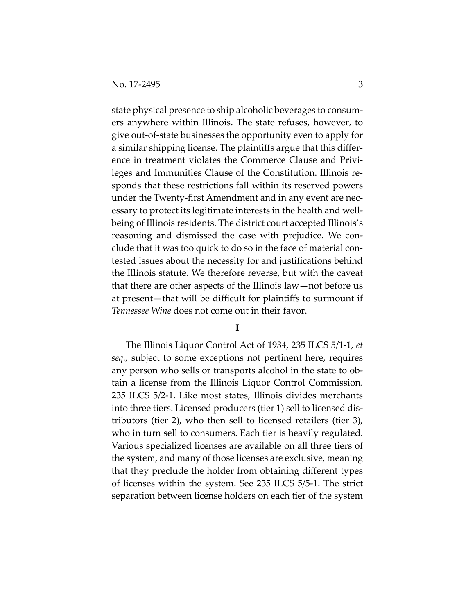state physical presence to ship alcoholic beverages to consumers anywhere within Illinois. The state refuses, however, to give out-of-state businesses the opportunity even to apply for a similar shipping license. The plaintiffs argue that this difference in treatment violates the Commerce Clause and Privileges and Immunities Clause of the Constitution. Illinois responds that these restrictions fall within its reserved powers under the Twenty-first Amendment and in any event are necessary to protect its legitimate interests in the health and wellbeing of Illinois residents. The district court accepted Illinois's reasoning and dismissed the case with prejudice. We conclude that it was too quick to do so in the face of material contested issues about the necessity for and justifications behind the Illinois statute. We therefore reverse, but with the caveat that there are other aspects of the Illinois law—not before us at present—that will be difficult for plaintiffs to surmount if *Tennessee Wine* does not come out in their favor.

#### **I**

The Illinois Liquor Control Act of 1934, 235 ILCS 5/1-1, *et seq.*, subject to some exceptions not pertinent here, requires any person who sells or transports alcohol in the state to obtain a license from the Illinois Liquor Control Commission. 235 ILCS 5/2-1. Like most states, Illinois divides merchants into three tiers. Licensed producers (tier 1) sell to licensed distributors (tier 2), who then sell to licensed retailers (tier 3), who in turn sell to consumers. Each tier is heavily regulated. Various specialized licenses are available on all three tiers of the system, and many of those licenses are exclusive, meaning that they preclude the holder from obtaining different types of licenses within the system. See 235 ILCS 5/5-1. The strict separation between license holders on each tier of the system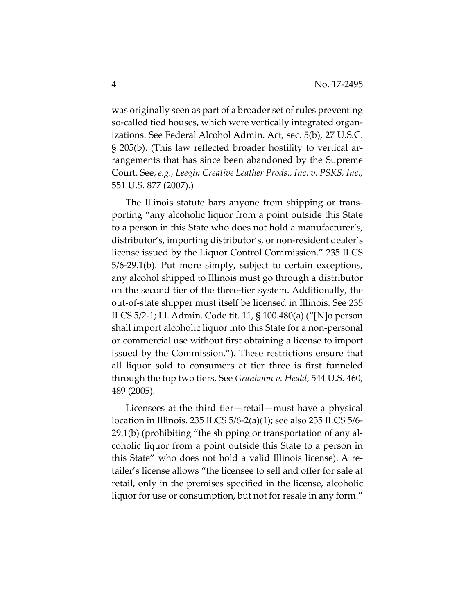was originally seen as part of a broader set of rules preventing so-called tied houses, which were vertically integrated organizations. See Federal Alcohol Admin. Act, sec. 5(b), 27 U.S.C. § 205(b). (This law reflected broader hostility to vertical arrangements that has since been abandoned by the Supreme Court. See, *e.g., Leegin Creative Leather Prods., Inc. v. PSKS, Inc.*, 551 U.S. 877 (2007).)

The Illinois statute bars anyone from shipping or transporting "any alcoholic liquor from a point outside this State to a person in this State who does not hold a manufacturer's, distributor's, importing distributor's, or non-resident dealer's license issued by the Liquor Control Commission." 235 ILCS 5/6-29.1(b). Put more simply, subject to certain exceptions, any alcohol shipped to Illinois must go through a distributor on the second tier of the three-tier system. Additionally, the out-of-state shipper must itself be licensed in Illinois. See 235 ILCS 5/2-1; Ill. Admin. Code tit. 11, § 100.480(a) ("[N]o person shall import alcoholic liquor into this State for a non-personal or commercial use without first obtaining a license to import issued by the Commission."). These restrictions ensure that all liquor sold to consumers at tier three is first funneled through the top two tiers. See *Granholm v. Heald*, 544 U.S. 460, 489 (2005).

Licensees at the third tier—retail—must have a physical location in Illinois. 235 ILCS 5/6-2(a)(1); see also 235 ILCS 5/6- 29.1(b) (prohibiting "the shipping or transportation of any alcoholic liquor from a point outside this State to a person in this State" who does not hold a valid Illinois license). A retailer's license allows "the licensee to sell and offer for sale at retail, only in the premises specified in the license, alcoholic liquor for use or consumption, but not for resale in any form."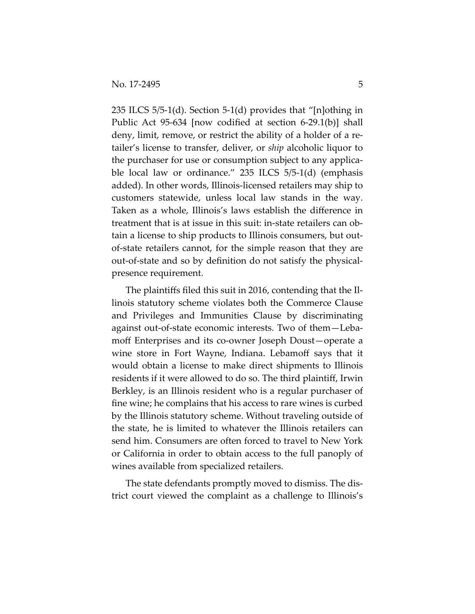235 ILCS 5/5-1(d). Section 5-1(d) provides that "[n]othing in Public Act 95-634 [now codified at section 6-29.1(b)] shall deny, limit, remove, or restrict the ability of a holder of a retailer's license to transfer, deliver, or *ship* alcoholic liquor to the purchaser for use or consumption subject to any applicable local law or ordinance." 235 ILCS 5/5-1(d) (emphasis added). In other words, Illinois-licensed retailers may ship to customers statewide, unless local law stands in the way. Taken as a whole, Illinois's laws establish the difference in treatment that is at issue in this suit: in-state retailers can obtain a license to ship products to Illinois consumers, but outof-state retailers cannot, for the simple reason that they are out-of-state and so by definition do not satisfy the physicalpresence requirement.

The plaintiffs filed this suit in 2016, contending that the Illinois statutory scheme violates both the Commerce Clause and Privileges and Immunities Clause by discriminating against out-of-state economic interests. Two of them—Lebamoff Enterprises and its co-owner Joseph Doust—operate a wine store in Fort Wayne, Indiana. Lebamoff says that it would obtain a license to make direct shipments to Illinois residents if it were allowed to do so. The third plaintiff, Irwin Berkley, is an Illinois resident who is a regular purchaser of fine wine; he complains that his access to rare wines is curbed by the Illinois statutory scheme. Without traveling outside of the state, he is limited to whatever the Illinois retailers can send him. Consumers are often forced to travel to New York or California in order to obtain access to the full panoply of wines available from specialized retailers.

The state defendants promptly moved to dismiss. The district court viewed the complaint as a challenge to Illinois's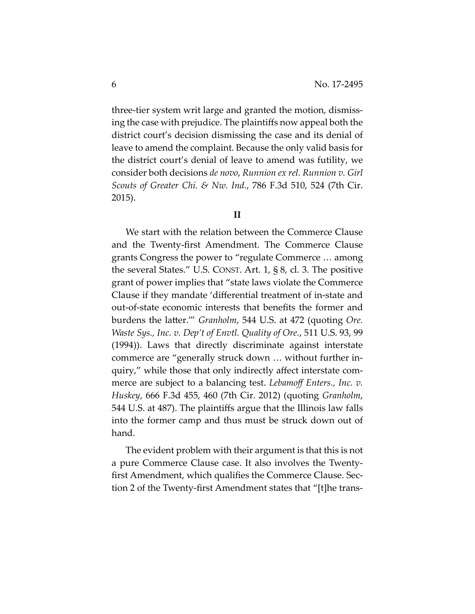three-tier system writ large and granted the motion, dismissing the case with prejudice. The plaintiffs now appeal both the district court's decision dismissing the case and its denial of leave to amend the complaint. Because the only valid basis for the district court's denial of leave to amend was futility, we consider both decisions *de novo*, *Runnion ex rel. Runnion v. Girl Scouts of Greater Chi. & Nw. Ind.*, 786 F.3d 510, 524 (7th Cir. 2015).

**II**

We start with the relation between the Commerce Clause and the Twenty-first Amendment. The Commerce Clause grants Congress the power to "regulate Commerce … among the several States." U.S. CONST. Art. 1, § 8, cl. 3. The positive grant of power implies that "state laws violate the Commerce Clause if they mandate 'differential treatment of in-state and out-of-state economic interests that benefits the former and burdens the latter.'" *Granholm*, 544 U.S. at 472 (quoting *Ore. Waste Sys., Inc. v. Dep't of Envtl. Quality of Ore.*, 511 U.S. 93, 99 (1994)). Laws that directly discriminate against interstate commerce are "generally struck down … without further inquiry," while those that only indirectly affect interstate commerce are subject to a balancing test. *Lebamoff Enters., Inc. v. Huskey*, 666 F.3d 455, 460 (7th Cir. 2012) (quoting *Granholm*, 544 U.S. at 487). The plaintiffs argue that the Illinois law falls into the former camp and thus must be struck down out of hand.

The evident problem with their argument is that this is not a pure Commerce Clause case. It also involves the Twentyfirst Amendment, which qualifies the Commerce Clause. Section 2 of the Twenty-first Amendment states that "[t]he trans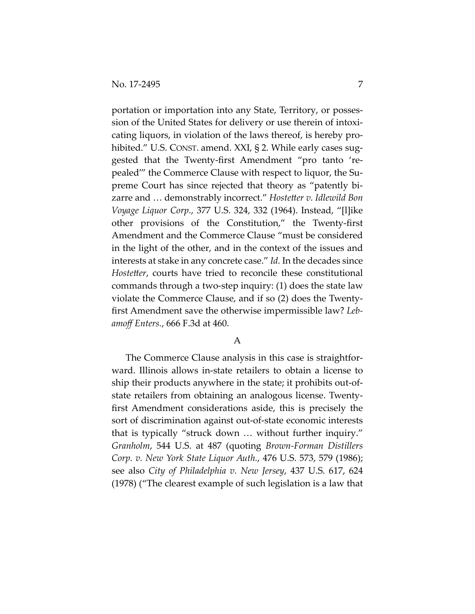portation or importation into any State, Territory, or possession of the United States for delivery or use therein of intoxicating liquors, in violation of the laws thereof, is hereby prohibited." U.S. CONST. amend. XXI, § 2. While early cases suggested that the Twenty-first Amendment "pro tanto 'repealed'" the Commerce Clause with respect to liquor, the Supreme Court has since rejected that theory as "patently bizarre and … demonstrably incorrect." *Hostetter v. Idlewild Bon Voyage Liquor Corp.*, 377 U.S. 324, 332 (1964). Instead, "[l]ike other provisions of the Constitution," the Twenty-first Amendment and the Commerce Clause "must be considered in the light of the other, and in the context of the issues and interests at stake in any concrete case." *Id.* In the decades since *Hostetter*, courts have tried to reconcile these constitutional commands through a two-step inquiry: (1) does the state law violate the Commerce Clause, and if so (2) does the Twentyfirst Amendment save the otherwise impermissible law? *Lebamoff Enters.*, 666 F.3d at 460.

### A

The Commerce Clause analysis in this case is straightforward. Illinois allows in-state retailers to obtain a license to ship their products anywhere in the state; it prohibits out-ofstate retailers from obtaining an analogous license. Twentyfirst Amendment considerations aside, this is precisely the sort of discrimination against out-of-state economic interests that is typically "struck down … without further inquiry." *Granholm*, 544 U.S. at 487 (quoting *Brown-Forman Distillers Corp. v. New York State Liquor Auth.*, 476 U.S. 573, 579 (1986); see also *City of Philadelphia v. New Jersey*, 437 U.S. 617, 624 (1978) ("The clearest example of such legislation is a law that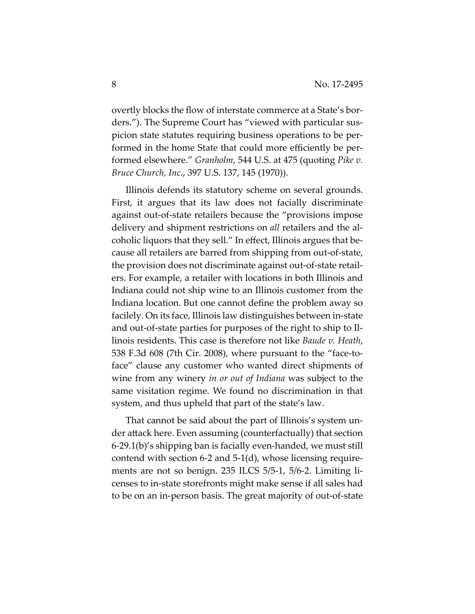overtly blocks the flow of interstate commerce at a State's borders."). The Supreme Court has "viewed with particular suspicion state statutes requiring business operations to be performed in the home State that could more efficiently be performed elsewhere." *Granholm*, 544 U.S. at 475 (quoting *Pike v. Bruce Church, Inc.*, 397 U.S. 137, 145 (1970)).

Illinois defends its statutory scheme on several grounds. First, it argues that its law does not facially discriminate against out-of-state retailers because the "provisions impose delivery and shipment restrictions on *all* retailers and the alcoholic liquors that they sell." In effect, Illinois argues that because all retailers are barred from shipping from out-of-state, the provision does not discriminate against out-of-state retailers. For example, a retailer with locations in both Illinois and Indiana could not ship wine to an Illinois customer from the Indiana location. But one cannot define the problem away so facilely. On its face, Illinois law distinguishes between in-state and out-of-state parties for purposes of the right to ship to Illinois residents. This case is therefore not like *Baude v. Heath*, 538 F.3d 608 (7th Cir. 2008), where pursuant to the "face-toface" clause any customer who wanted direct shipments of wine from any winery *in or out of Indiana* was subject to the same visitation regime. We found no discrimination in that system, and thus upheld that part of the state's law.

That cannot be said about the part of Illinois's system under attack here. Even assuming (counterfactually) that section 6-29.1(b)'s shipping ban is facially even-handed, we must still contend with section 6-2 and 5-1(d), whose licensing requirements are not so benign. 235 ILCS 5/5-1, 5/6-2. Limiting licenses to in-state storefronts might make sense if all sales had to be on an in-person basis. The great majority of out-of-state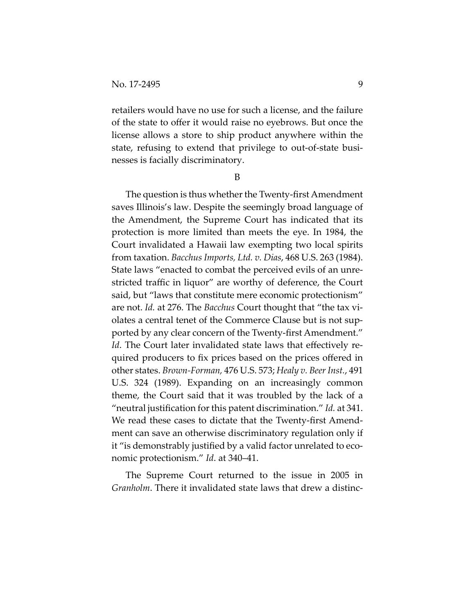retailers would have no use for such a license, and the failure of the state to offer it would raise no eyebrows. But once the license allows a store to ship product anywhere within the state, refusing to extend that privilege to out-of-state businesses is facially discriminatory.

B

The question is thus whether the Twenty-first Amendment saves Illinois's law. Despite the seemingly broad language of the Amendment, the Supreme Court has indicated that its protection is more limited than meets the eye. In 1984, the Court invalidated a Hawaii law exempting two local spirits from taxation. *Bacchus Imports, Ltd. v. Dias*, 468 U.S. 263 (1984). State laws "enacted to combat the perceived evils of an unrestricted traffic in liquor" are worthy of deference, the Court said, but "laws that constitute mere economic protectionism" are not. *Id.* at 276. The *Bacchus* Court thought that "the tax violates a central tenet of the Commerce Clause but is not supported by any clear concern of the Twenty-first Amendment." *Id*. The Court later invalidated state laws that effectively required producers to fix prices based on the prices offered in other states. *Brown-Forman,* 476 U.S. 573; *Healy v. Beer Inst.*, 491 U.S. 324 (1989). Expanding on an increasingly common theme, the Court said that it was troubled by the lack of a "neutral justification for this patent discrimination." *Id.* at 341. We read these cases to dictate that the Twenty-first Amendment can save an otherwise discriminatory regulation only if it "is demonstrably justified by a valid factor unrelated to economic protectionism." *Id*. at 340–41.

The Supreme Court returned to the issue in 2005 in *Granholm*. There it invalidated state laws that drew a distinc-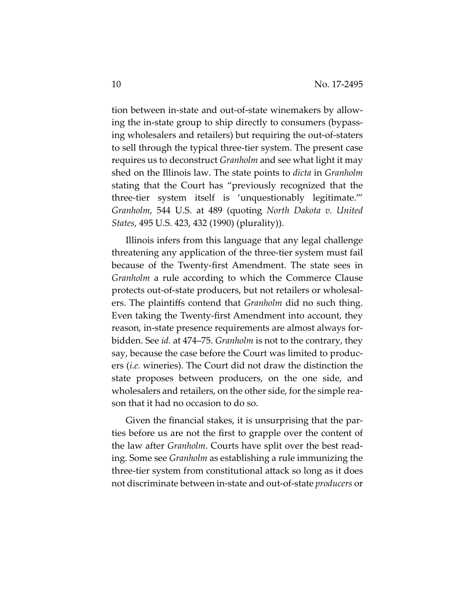tion between in-state and out-of-state winemakers by allowing the in-state group to ship directly to consumers (bypassing wholesalers and retailers) but requiring the out-of-staters to sell through the typical three-tier system. The present case requires us to deconstruct *Granholm* and see what light it may shed on the Illinois law. The state points to *dicta* in *Granholm*  stating that the Court has "previously recognized that the three-tier system itself is 'unquestionably legitimate.'" *Granholm*, 544 U.S. at 489 (quoting *North Dakota v. United States*, 495 U.S. 423, 432 (1990) (plurality)).

Illinois infers from this language that any legal challenge threatening any application of the three-tier system must fail because of the Twenty-first Amendment. The state sees in *Granholm* a rule according to which the Commerce Clause protects out-of-state producers, but not retailers or wholesalers. The plaintiffs contend that *Granholm* did no such thing. Even taking the Twenty-first Amendment into account, they reason, in-state presence requirements are almost always forbidden. See *id.* at 474–75. *Granholm* is not to the contrary, they say, because the case before the Court was limited to producers (*i.e.* wineries). The Court did not draw the distinction the state proposes between producers, on the one side, and wholesalers and retailers, on the other side, for the simple reason that it had no occasion to do so.

Given the financial stakes, it is unsurprising that the parties before us are not the first to grapple over the content of the law after *Granholm*. Courts have split over the best reading. Some see *Granholm* as establishing a rule immunizing the three-tier system from constitutional attack so long as it does not discriminate between in-state and out-of-state *producers* or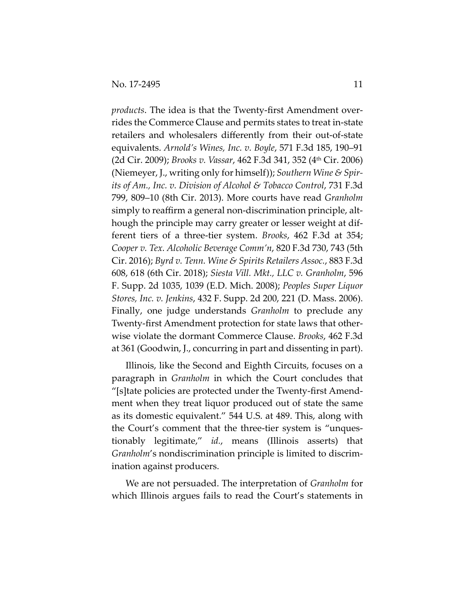*products*. The idea is that the Twenty-first Amendment overrides the Commerce Clause and permits states to treat in-state retailers and wholesalers differently from their out-of-state equivalents. *Arnold's Wines, Inc. v. Boyle*, 571 F.3d 185, 190–91 (2d Cir. 2009); *Brooks v. Vassar*, 462 F.3d 341, 352 (4th Cir. 2006) (Niemeyer, J., writing only for himself)); *Southern Wine & Spirits of Am., Inc. v. Division of Alcohol & Tobacco Control*, 731 F.3d 799, 809–10 (8th Cir. 2013). More courts have read *Granholm*  simply to reaffirm a general non-discrimination principle, although the principle may carry greater or lesser weight at different tiers of a three-tier system. *Brooks*, 462 F.3d at 354; *Cooper v. Tex. Alcoholic Beverage Comm'n*, 820 F.3d 730, 743 (5th Cir. 2016); *Byrd v. Tenn. Wine & Spirits Retailers Assoc.*, 883 F.3d 608, 618 (6th Cir. 2018); *Siesta Vill. Mkt., LLC v. Granholm*, 596 F. Supp. 2d 1035, 1039 (E.D. Mich. 2008); *Peoples Super Liquor Stores, Inc. v. Jenkins*, 432 F. Supp. 2d 200, 221 (D. Mass. 2006). Finally, one judge understands *Granholm* to preclude any Twenty-first Amendment protection for state laws that otherwise violate the dormant Commerce Clause. *Brooks*, 462 F.3d at 361 (Goodwin, J., concurring in part and dissenting in part).

Illinois, like the Second and Eighth Circuits, focuses on a paragraph in *Granholm* in which the Court concludes that "[s]tate policies are protected under the Twenty-first Amendment when they treat liquor produced out of state the same as its domestic equivalent." 544 U.S. at 489. This, along with the Court's comment that the three-tier system is "unquestionably legitimate," *id.*, means (Illinois asserts) that *Granholm*'s nondiscrimination principle is limited to discrimination against producers.

We are not persuaded. The interpretation of *Granholm* for which Illinois argues fails to read the Court's statements in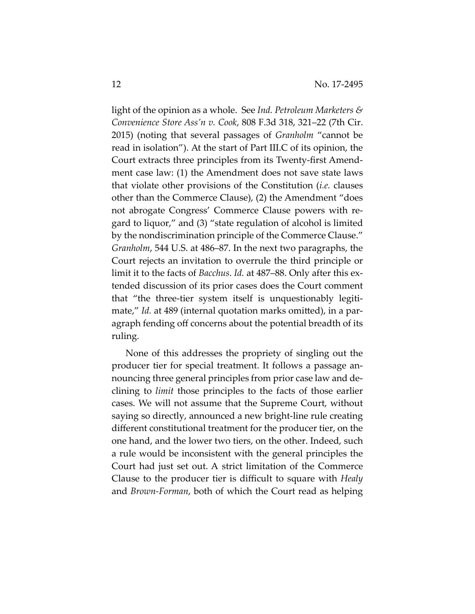light of the opinion as a whole. See *Ind. Petroleum Marketers & Convenience Store Ass'n v. Cook*, 808 F.3d 318, 321–22 (7th Cir. 2015) (noting that several passages of *Granholm* "cannot be read in isolation"). At the start of Part III.C of its opinion, the Court extracts three principles from its Twenty-first Amendment case law: (1) the Amendment does not save state laws that violate other provisions of the Constitution (*i.e.* clauses other than the Commerce Clause), (2) the Amendment "does not abrogate Congress' Commerce Clause powers with regard to liquor," and (3) "state regulation of alcohol is limited by the nondiscrimination principle of the Commerce Clause." *Granholm*, 544 U.S. at 486–87. In the next two paragraphs, the Court rejects an invitation to overrule the third principle or limit it to the facts of *Bacchus*. *Id.* at 487–88. Only after this extended discussion of its prior cases does the Court comment that "the three-tier system itself is unquestionably legitimate," *Id.* at 489 (internal quotation marks omitted), in a paragraph fending off concerns about the potential breadth of its ruling.

None of this addresses the propriety of singling out the producer tier for special treatment. It follows a passage announcing three general principles from prior case law and declining to *limit* those principles to the facts of those earlier cases. We will not assume that the Supreme Court, without saying so directly, announced a new bright-line rule creating different constitutional treatment for the producer tier, on the one hand, and the lower two tiers, on the other. Indeed, such a rule would be inconsistent with the general principles the Court had just set out. A strict limitation of the Commerce Clause to the producer tier is difficult to square with *Healy* and *Brown-Forman*, both of which the Court read as helping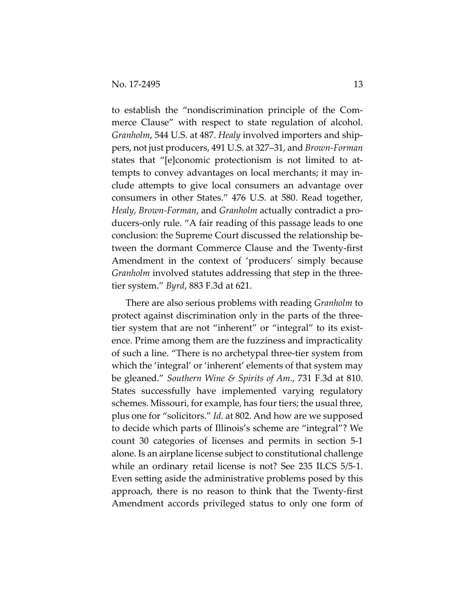to establish the "nondiscrimination principle of the Commerce Clause" with respect to state regulation of alcohol. *Granholm*, 544 U.S. at 487. *Healy* involved importers and shippers, not just producers, 491 U.S. at 327–31, and *Brown-Forman*  states that "[e]conomic protectionism is not limited to attempts to convey advantages on local merchants; it may include attempts to give local consumers an advantage over consumers in other States." 476 U.S. at 580. Read together, *Healy*, *Brown-Forman*, and *Granholm* actually contradict a producers-only rule. "A fair reading of this passage leads to one conclusion: the Supreme Court discussed the relationship between the dormant Commerce Clause and the Twenty-first Amendment in the context of 'producers' simply because *Granholm* involved statutes addressing that step in the threetier system." *Byrd*, 883 F.3d at 621.

There are also serious problems with reading *Granholm* to protect against discrimination only in the parts of the threetier system that are not "inherent" or "integral" to its existence. Prime among them are the fuzziness and impracticality of such a line. "There is no archetypal three-tier system from which the 'integral' or 'inherent' elements of that system may be gleaned." *Southern Wine & Spirits of Am.*, 731 F.3d at 810. States successfully have implemented varying regulatory schemes. Missouri, for example, has four tiers; the usual three, plus one for "solicitors." *Id.* at 802. And how are we supposed to decide which parts of Illinois's scheme are "integral"? We count 30 categories of licenses and permits in section 5-1 alone. Is an airplane license subject to constitutional challenge while an ordinary retail license is not? See 235 ILCS 5/5-1. Even setting aside the administrative problems posed by this approach, there is no reason to think that the Twenty-first Amendment accords privileged status to only one form of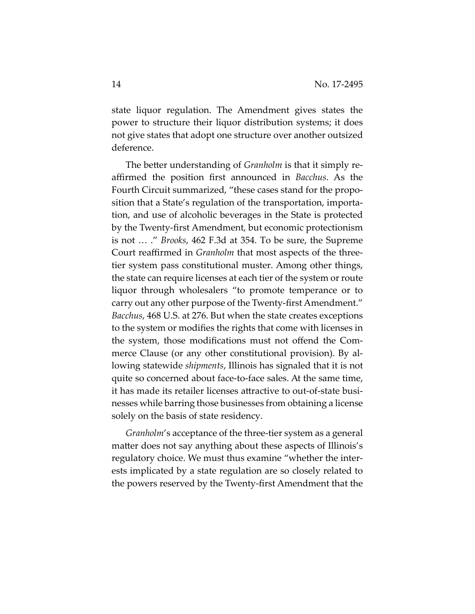state liquor regulation. The Amendment gives states the power to structure their liquor distribution systems; it does not give states that adopt one structure over another outsized deference.

The better understanding of *Granholm* is that it simply reaffirmed the position first announced in *Bacchus*. As the Fourth Circuit summarized, "these cases stand for the proposition that a State's regulation of the transportation, importation, and use of alcoholic beverages in the State is protected by the Twenty-first Amendment, but economic protectionism is not … ." *Brooks*, 462 F.3d at 354. To be sure, the Supreme Court reaffirmed in *Granholm* that most aspects of the threetier system pass constitutional muster. Among other things, the state can require licenses at each tier of the system or route liquor through wholesalers "to promote temperance or to carry out any other purpose of the Twenty-first Amendment." *Bacchus*, 468 U.S. at 276. But when the state creates exceptions to the system or modifies the rights that come with licenses in the system, those modifications must not offend the Commerce Clause (or any other constitutional provision). By allowing statewide *shipments*, Illinois has signaled that it is not quite so concerned about face-to-face sales. At the same time, it has made its retailer licenses attractive to out-of-state businesses while barring those businesses from obtaining a license solely on the basis of state residency.

*Granholm*'s acceptance of the three-tier system as a general matter does not say anything about these aspects of Illinois's regulatory choice. We must thus examine "whether the interests implicated by a state regulation are so closely related to the powers reserved by the Twenty-first Amendment that the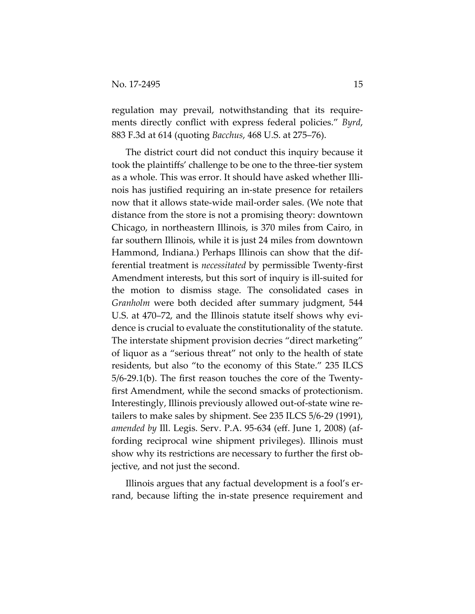regulation may prevail, notwithstanding that its requirements directly conflict with express federal policies." *Byrd*, 883 F.3d at 614 (quoting *Bacchus*, 468 U.S. at 275–76).

The district court did not conduct this inquiry because it took the plaintiffs' challenge to be one to the three-tier system as a whole. This was error. It should have asked whether Illinois has justified requiring an in-state presence for retailers now that it allows state-wide mail-order sales. (We note that distance from the store is not a promising theory: downtown Chicago, in northeastern Illinois, is 370 miles from Cairo, in far southern Illinois, while it is just 24 miles from downtown Hammond, Indiana.) Perhaps Illinois can show that the differential treatment is *necessitated* by permissible Twenty-first Amendment interests, but this sort of inquiry is ill-suited for the motion to dismiss stage. The consolidated cases in *Granholm* were both decided after summary judgment, 544 U.S. at 470–72, and the Illinois statute itself shows why evidence is crucial to evaluate the constitutionality of the statute. The interstate shipment provision decries "direct marketing" of liquor as a "serious threat" not only to the health of state residents, but also "to the economy of this State." 235 ILCS 5/6-29.1(b). The first reason touches the core of the Twentyfirst Amendment, while the second smacks of protectionism. Interestingly, Illinois previously allowed out-of-state wine retailers to make sales by shipment. See 235 ILCS 5/6-29 (1991), *amended by* Ill. Legis. Serv. P.A. 95-634 (eff. June 1, 2008) (affording reciprocal wine shipment privileges). Illinois must show why its restrictions are necessary to further the first objective, and not just the second.

Illinois argues that any factual development is a fool's errand, because lifting the in-state presence requirement and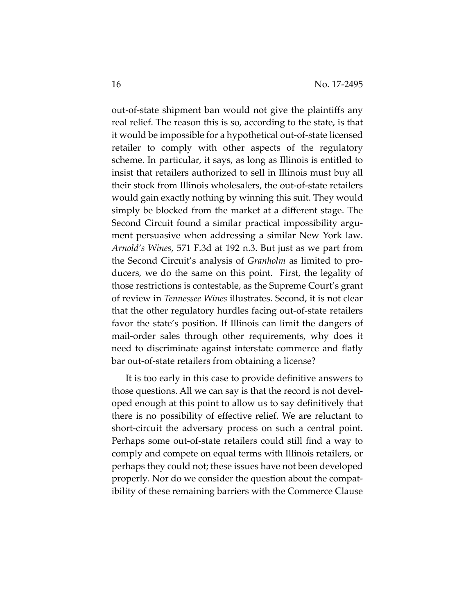out-of-state shipment ban would not give the plaintiffs any real relief. The reason this is so, according to the state, is that it would be impossible for a hypothetical out-of-state licensed retailer to comply with other aspects of the regulatory scheme. In particular, it says, as long as Illinois is entitled to insist that retailers authorized to sell in Illinois must buy all their stock from Illinois wholesalers, the out-of-state retailers would gain exactly nothing by winning this suit. They would simply be blocked from the market at a different stage. The Second Circuit found a similar practical impossibility argument persuasive when addressing a similar New York law. *Arnold's Wines*, 571 F.3d at 192 n.3. But just as we part from the Second Circuit's analysis of *Granholm* as limited to producers, we do the same on this point. First, the legality of those restrictions is contestable, as the Supreme Court's grant of review in *Tennessee Wines* illustrates. Second, it is not clear that the other regulatory hurdles facing out-of-state retailers favor the state's position. If Illinois can limit the dangers of mail-order sales through other requirements, why does it need to discriminate against interstate commerce and flatly bar out-of-state retailers from obtaining a license?

It is too early in this case to provide definitive answers to those questions. All we can say is that the record is not developed enough at this point to allow us to say definitively that there is no possibility of effective relief. We are reluctant to short-circuit the adversary process on such a central point. Perhaps some out-of-state retailers could still find a way to comply and compete on equal terms with Illinois retailers, or perhaps they could not; these issues have not been developed properly. Nor do we consider the question about the compatibility of these remaining barriers with the Commerce Clause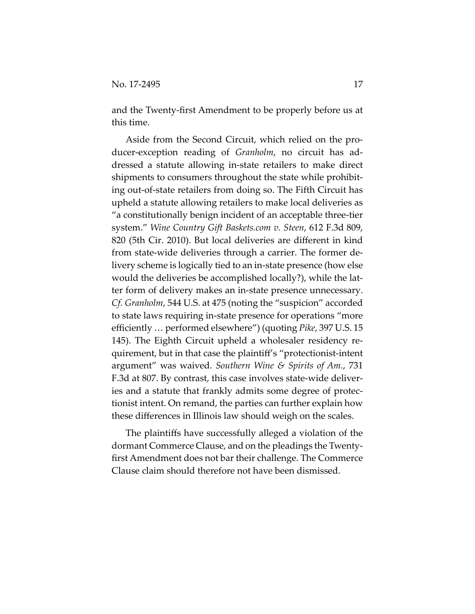and the Twenty-first Amendment to be properly before us at this time.

Aside from the Second Circuit, which relied on the producer-exception reading of *Granholm*, no circuit has addressed a statute allowing in-state retailers to make direct shipments to consumers throughout the state while prohibiting out-of-state retailers from doing so. The Fifth Circuit has upheld a statute allowing retailers to make local deliveries as "a constitutionally benign incident of an acceptable three-tier system." *Wine Country Gift Baskets.com v. Steen*, 612 F.3d 809, 820 (5th Cir. 2010). But local deliveries are different in kind from state-wide deliveries through a carrier. The former delivery scheme is logically tied to an in-state presence (how else would the deliveries be accomplished locally?), while the latter form of delivery makes an in-state presence unnecessary. *Cf. Granholm*, 544 U.S. at 475 (noting the "suspicion" accorded to state laws requiring in-state presence for operations "more efficiently … performed elsewhere") (quoting *Pike*, 397 U.S. 15 145). The Eighth Circuit upheld a wholesaler residency requirement, but in that case the plaintiff's "protectionist-intent argument" was waived. *Southern Wine & Spirits of Am.*, 731 F.3d at 807. By contrast, this case involves state-wide deliveries and a statute that frankly admits some degree of protectionist intent. On remand, the parties can further explain how these differences in Illinois law should weigh on the scales.

The plaintiffs have successfully alleged a violation of the dormant Commerce Clause, and on the pleadings the Twentyfirst Amendment does not bar their challenge. The Commerce Clause claim should therefore not have been dismissed.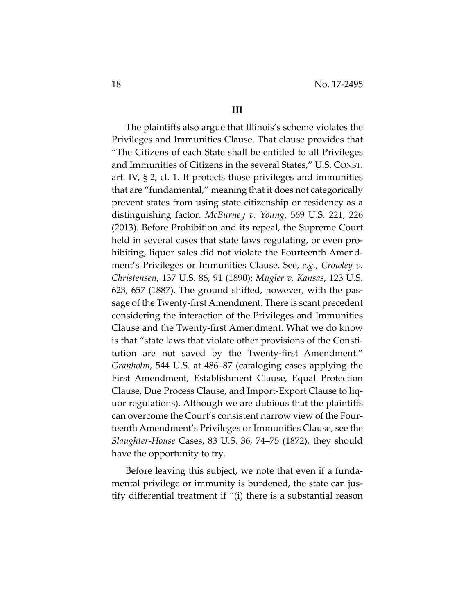#### **III**

The plaintiffs also argue that Illinois's scheme violates the Privileges and Immunities Clause. That clause provides that "The Citizens of each State shall be entitled to all Privileges and Immunities of Citizens in the several States," U.S. CONST. art. IV, § 2, cl. 1. It protects those privileges and immunities that are "fundamental," meaning that it does not categorically prevent states from using state citizenship or residency as a distinguishing factor. *McBurney v. Young*, 569 U.S. 221, 226 (2013). Before Prohibition and its repeal, the Supreme Court held in several cases that state laws regulating, or even prohibiting, liquor sales did not violate the Fourteenth Amendment's Privileges or Immunities Clause. See, *e.g.*, *Crowley v. Christensen*, 137 U.S. 86, 91 (1890); *Mugler v. Kansas*, 123 U.S. 623, 657 (1887). The ground shifted, however, with the passage of the Twenty-first Amendment. There is scant precedent considering the interaction of the Privileges and Immunities Clause and the Twenty-first Amendment. What we do know is that "state laws that violate other provisions of the Constitution are not saved by the Twenty-first Amendment." *Granholm*, 544 U.S. at 486–87 (cataloging cases applying the First Amendment, Establishment Clause, Equal Protection Clause, Due Process Clause, and Import-Export Clause to liquor regulations). Although we are dubious that the plaintiffs can overcome the Court's consistent narrow view of the Fourteenth Amendment's Privileges or Immunities Clause, see the *Slaughter-House* Cases, 83 U.S. 36, 74–75 (1872), they should have the opportunity to try.

Before leaving this subject, we note that even if a fundamental privilege or immunity is burdened, the state can justify differential treatment if "(i) there is a substantial reason